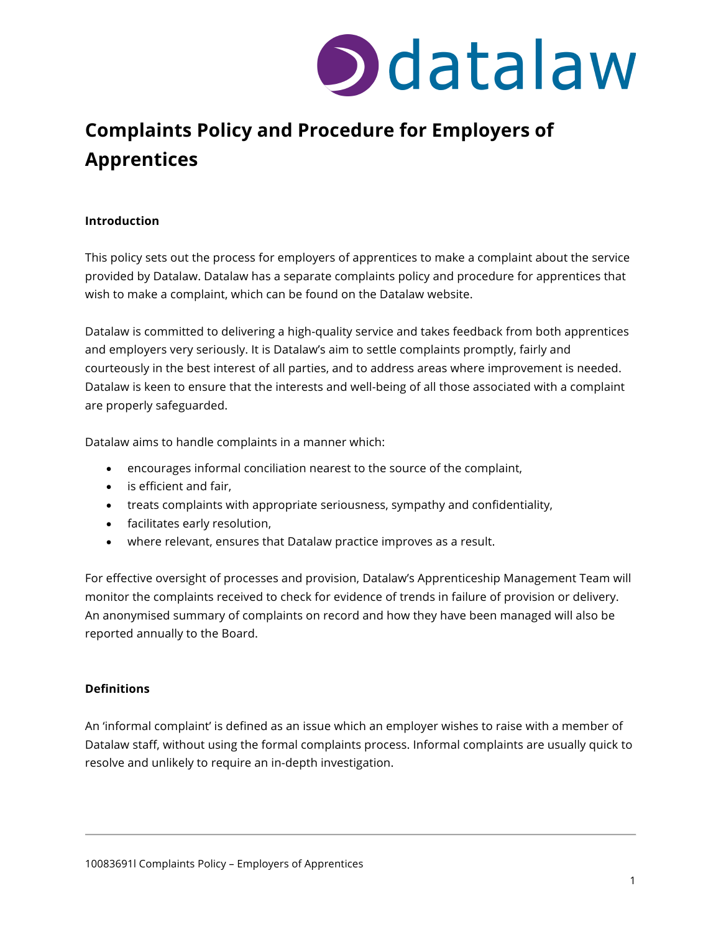

### **Complaints Policy and Procedure for Employers of Apprentices**

#### **Introduction**

This policy sets out the process for employers of apprentices to make a complaint about the service provided by Datalaw. Datalaw has a separate complaints policy and procedure for apprentices that wish to make a complaint, which can be found on the Datalaw website.

Datalaw is committed to delivering a high-quality service and takes feedback from both apprentices and employers very seriously. It is Datalaw's aim to settle complaints promptly, fairly and courteously in the best interest of all parties, and to address areas where improvement is needed. Datalaw is keen to ensure that the interests and well-being of all those associated with a complaint are properly safeguarded.

Datalaw aims to handle complaints in a manner which:

- encourages informal conciliation nearest to the source of the complaint,
- is efficient and fair,
- treats complaints with appropriate seriousness, sympathy and confidentiality,
- facilitates early resolution,
- where relevant, ensures that Datalaw practice improves as a result.

For effective oversight of processes and provision, Datalaw's Apprenticeship Management Team will monitor the complaints received to check for evidence of trends in failure of provision or delivery. An anonymised summary of complaints on record and how they have been managed will also be reported annually to the Board.

#### **Definitions**

An 'informal complaint' is defined as an issue which an employer wishes to raise with a member of Datalaw staff, without using the formal complaints process. Informal complaints are usually quick to resolve and unlikely to require an in-depth investigation.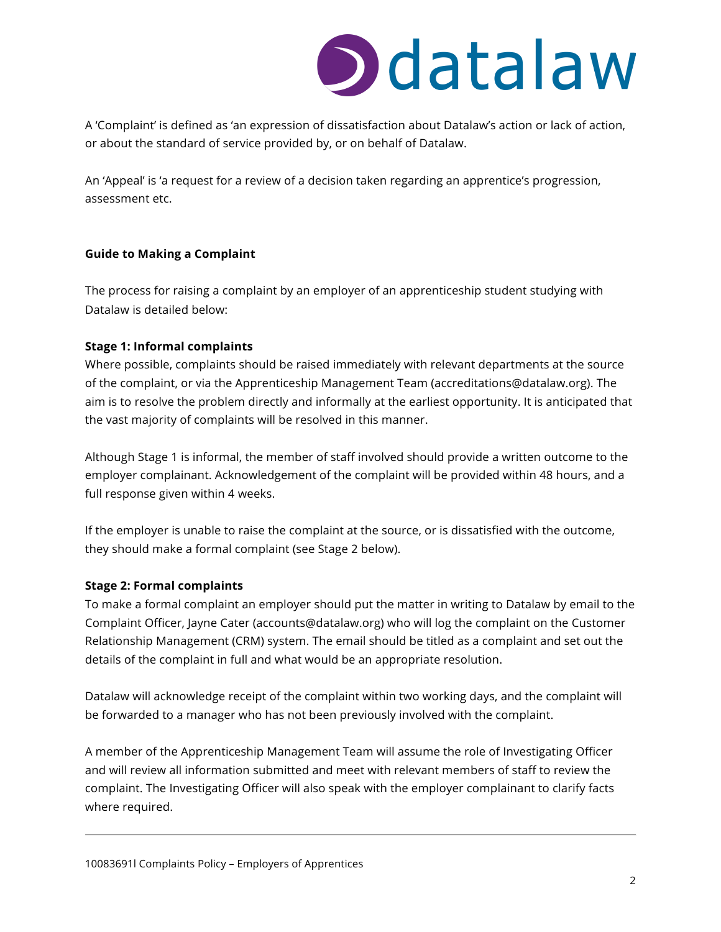## Didatalaw

A 'Complaint' is defined as 'an expression of dissatisfaction about Datalaw's action or lack of action, or about the standard of service provided by, or on behalf of Datalaw.

An 'Appeal' is 'a request for a review of a decision taken regarding an apprentice's progression, assessment etc.

#### **Guide to Making a Complaint**

The process for raising a complaint by an employer of an apprenticeship student studying with Datalaw is detailed below:

#### **Stage 1: Informal complaints**

Where possible, complaints should be raised immediately with relevant departments at the source of the complaint, or via the Apprenticeship Management Team (accreditations@datalaw.org). The aim is to resolve the problem directly and informally at the earliest opportunity. It is anticipated that the vast majority of complaints will be resolved in this manner.

Although Stage 1 is informal, the member of staff involved should provide a written outcome to the employer complainant. Acknowledgement of the complaint will be provided within 48 hours, and a full response given within 4 weeks.

If the employer is unable to raise the complaint at the source, or is dissatisfied with the outcome, they should make a formal complaint (see Stage 2 below).

#### **Stage 2: Formal complaints**

To make a formal complaint an employer should put the matter in writing to Datalaw by email to the Complaint Officer, Jayne Cater (accounts@datalaw.org) who will log the complaint on the Customer Relationship Management (CRM) system. The email should be titled as a complaint and set out the details of the complaint in full and what would be an appropriate resolution.

Datalaw will acknowledge receipt of the complaint within two working days, and the complaint will be forwarded to a manager who has not been previously involved with the complaint.

A member of the Apprenticeship Management Team will assume the role of Investigating Officer and will review all information submitted and meet with relevant members of staff to review the complaint. The Investigating Officer will also speak with the employer complainant to clarify facts where required.